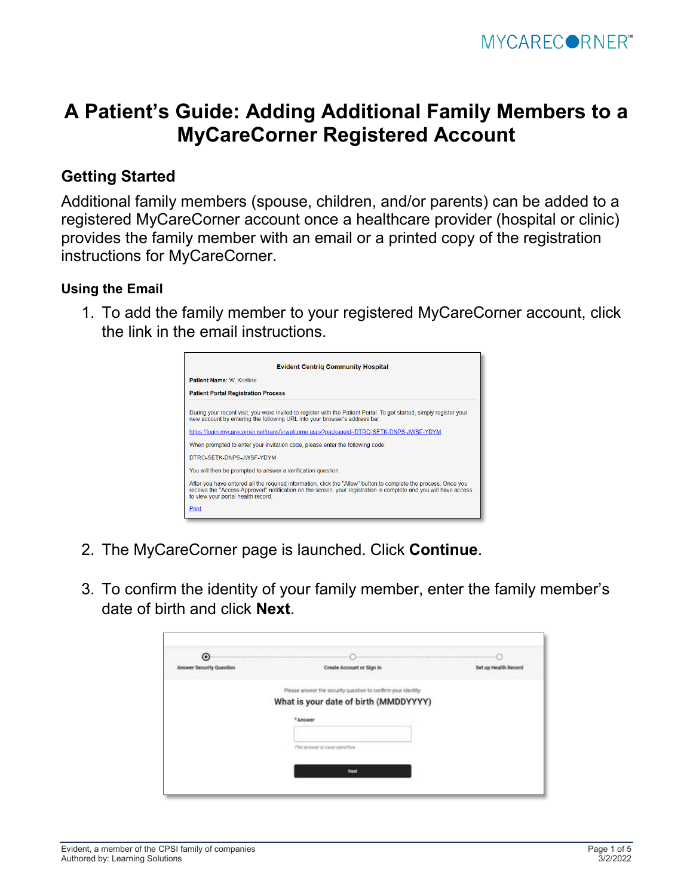## **A Patient's Guide: Adding Additional Family Members to a MyCareCorner Registered Account**

## **Getting Started**

Additional family members (spouse, children, and/or parents) can be added to a registered MyCareCorner account once a healthcare provider (hospital or clinic) provides the family member with an email or a printed copy of the registration instructions for MyCareCorner.

## <span id="page-0-0"></span>**Using the Email**

1. To add the family member to your registered MyCareCorner account, click the link in the email instructions.



- 2. The MyCareCorner page is launched. Click **Continue**.
- 3. To confirm the identity of your family member, enter the family member's date of birth and click **Next**.

| $\odot$                         |                                                               |                      |
|---------------------------------|---------------------------------------------------------------|----------------------|
| <b>Answer Security Question</b> | Create Account or Sign In                                     | Set up Health Record |
|                                 | Please answer the security question to confirm your identity. |                      |
|                                 | What is your date of birth (MMDDYYYY)                         |                      |
|                                 | *Answer                                                       |                      |
|                                 | The answer is case sensitive                                  |                      |
|                                 | Next                                                          |                      |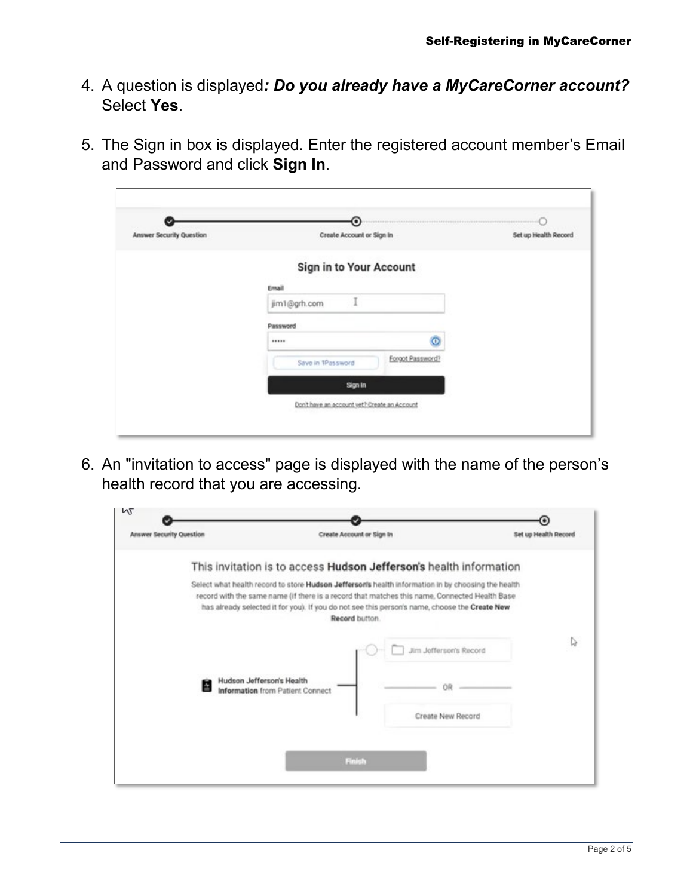- 4. A question is displayed*: Do you already have a MyCareCorner account?* Select **Yes**.
- 5. The Sign in box is displayed. Enter the registered account member's Email and Password and click **Sign In**.

| <b>Answer Security Question</b> | ⊙<br>Create Account or Sign In               |                  | president in<br>Set up Health Record |
|---------------------------------|----------------------------------------------|------------------|--------------------------------------|
|                                 | Sign in to Your Account                      |                  |                                      |
|                                 | Email                                        |                  |                                      |
|                                 | jim1@grh.com                                 |                  |                                      |
|                                 | Password                                     |                  |                                      |
|                                 |                                              | $\circ$          |                                      |
|                                 | Save in 1Password                            | Forgot Password? |                                      |
|                                 | Sign in                                      |                  |                                      |
|                                 | Don't have an account vet? Create an Account |                  |                                      |

6. An "invitation to access" page is displayed with the name of the person's health record that you are accessing.

| Create Account or Sign In | Set up Health Record                                                                                                                                                                                                                                                                                                                                                                                                                               |
|---------------------------|----------------------------------------------------------------------------------------------------------------------------------------------------------------------------------------------------------------------------------------------------------------------------------------------------------------------------------------------------------------------------------------------------------------------------------------------------|
|                           |                                                                                                                                                                                                                                                                                                                                                                                                                                                    |
| Record button.            |                                                                                                                                                                                                                                                                                                                                                                                                                                                    |
|                           | ↳<br>Jim Jefferson's Record                                                                                                                                                                                                                                                                                                                                                                                                                        |
|                           |                                                                                                                                                                                                                                                                                                                                                                                                                                                    |
|                           | Create New Record                                                                                                                                                                                                                                                                                                                                                                                                                                  |
|                           |                                                                                                                                                                                                                                                                                                                                                                                                                                                    |
| Finish                    |                                                                                                                                                                                                                                                                                                                                                                                                                                                    |
|                           | This invitation is to access Hudson Jefferson's health information<br>Select what health record to store Hudson Jefferson's health information in by choosing the health<br>record with the same name (if there is a record that matches this name, Connected Health Base<br>has already selected it for you). If you do not see this person's name, choose the Create New<br>Hudson Jefferson's Health<br><b>Information</b> from Patient Connect |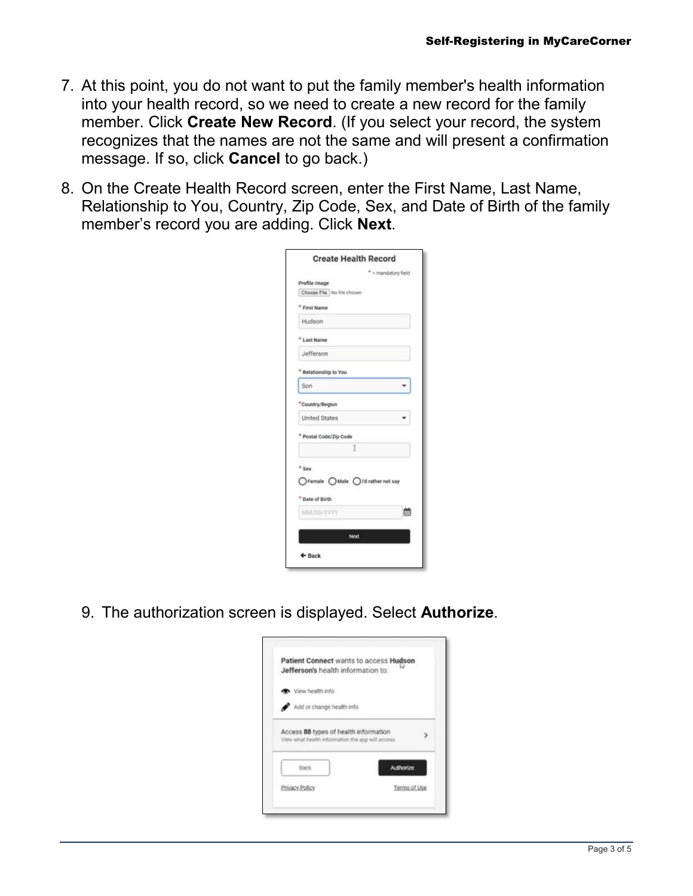- 7. At this point, you do not want to put the family member's health information into your health record, so we need to create a new record for the family member. Click **Create New Record**. (If you select your record, the system recognizes that the names are not the same and will present a confirmation message. If so, click **Cancel** to go back.)
- 8. On the Create Health Record screen, enter the First Name, Last Name, Relationship to You, Country, Zip Code, Sex, and Date of Birth of the family member's record you are adding. Click **Next**.

|                                   | <b>Create Health Record</b> |                     |   |
|-----------------------------------|-----------------------------|---------------------|---|
|                                   |                             | * = mandatory field |   |
| Profile Image                     |                             |                     |   |
| Choose File No file chosen        |                             |                     |   |
| <b>First Name</b>                 |                             |                     |   |
| Hudson                            |                             |                     |   |
| <b>Last Name</b>                  |                             |                     |   |
| Jefferson                         |                             |                     |   |
| Relationship to You               |                             |                     |   |
| Son                               |                             |                     |   |
| Country/Region                    |                             |                     |   |
| <b>United States</b>              |                             |                     |   |
| Postal Code/Zip Code              |                             |                     |   |
|                                   | Ĩ.                          |                     |   |
| * Sex                             |                             |                     |   |
| ○Female ○Male ○I'd rather not say |                             |                     |   |
| * Date of Birth                   |                             |                     |   |
| MM/DB/YYYY                        |                             |                     | π |
|                                   | Next                        |                     |   |
| $\leftarrow$ Back                 |                             |                     |   |

9. The authorization screen is displayed. Select **Authorize**.

| Jefferson's health information to:                                                        | Patient Connect wants to access Hudson |
|-------------------------------------------------------------------------------------------|----------------------------------------|
| Wew health info                                                                           |                                        |
| Add or change health info                                                                 |                                        |
| Access 88 types of health information<br>View what health information the app will access |                                        |
| Back.                                                                                     | Authorize                              |
| Privacy Policy                                                                            | Tenns of Use                           |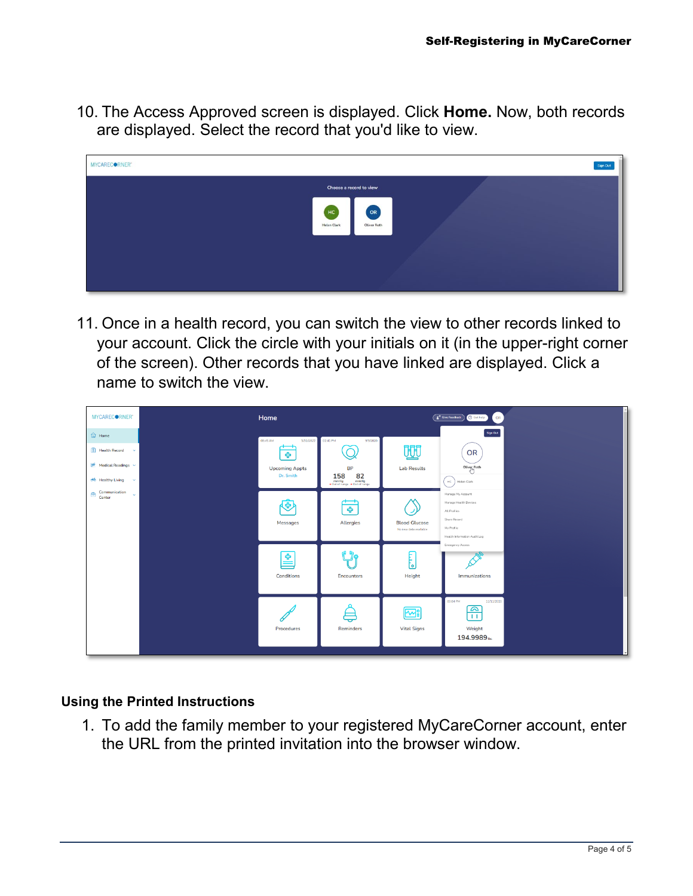10. The Access Approved screen is displayed. Click **Home.** Now, both records are displayed. Select the record that you'd like to view.



11. Once in a health record, you can switch the view to other records linked to your account. Click the circle with your initials on it (in the upper-right corner of the screen). Other records that you have linked are displayed. Click a name to switch the view.

| MYCARECORNER"                                                                                                                 | Home                                                                             |                                                                                                                                                                          |                                               | <sup>2</sup> Give Feedback<br><b>O</b> Get help<br>OR                                                                    |  |
|-------------------------------------------------------------------------------------------------------------------------------|----------------------------------------------------------------------------------|--------------------------------------------------------------------------------------------------------------------------------------------------------------------------|-----------------------------------------------|--------------------------------------------------------------------------------------------------------------------------|--|
| $\widehat{\omega}$ Home<br>$\boxed{\underline{\mathcal{E}}}$ Health Record $\sim$<br>Medical Readings<br>olo Healthy Living v | 08:45 AM<br>3/31/2022<br>$\mathbf{r}$<br>÷<br><b>Upcoming Appts</b><br>Dr. Smith | 02:41 PM<br>9/9/2020<br><b>BP</b><br>$\underset{\scriptscriptstyle{\bullet\text{ Out of range}}}{{158}}\underset{\scriptscriptstyle{\bullet\text{ Out of range}}}{{82}}$ | 朋<br><b>Lab Results</b>                       | Sign Out<br>OR<br>Oliver Roth<br>$\rm{HC}$<br>Helen Clark                                                                |  |
| Communication<br>画<br>$\sim$<br>Center                                                                                        | ☜<br>Messages                                                                    | $\overline{\phantom{a}}$<br>ቀ<br>Allergies                                                                                                                               | <b>Blood Glucose</b><br>No new data available | Manage My Account<br>Manage Health Devices<br>All Profiles<br>Share Record<br>My Profile<br>Health Information Audit Log |  |
|                                                                                                                               | 오<br>Conditions                                                                  | Encounters                                                                                                                                                               | Ę<br>Height                                   | Emergency Access<br>Immunizations                                                                                        |  |
|                                                                                                                               | Procedures                                                                       | ᇹ<br>Reminders                                                                                                                                                           | ₩<br><b>Vital Signs</b>                       | 11/11/2020<br>03:04 PM<br>ົ<br>11<br>Weight<br>194.9989ths                                                               |  |

## **Using the Printed Instructions**

1. To add the family member to your registered MyCareCorner account, enter the URL from the printed invitation into the browser window.